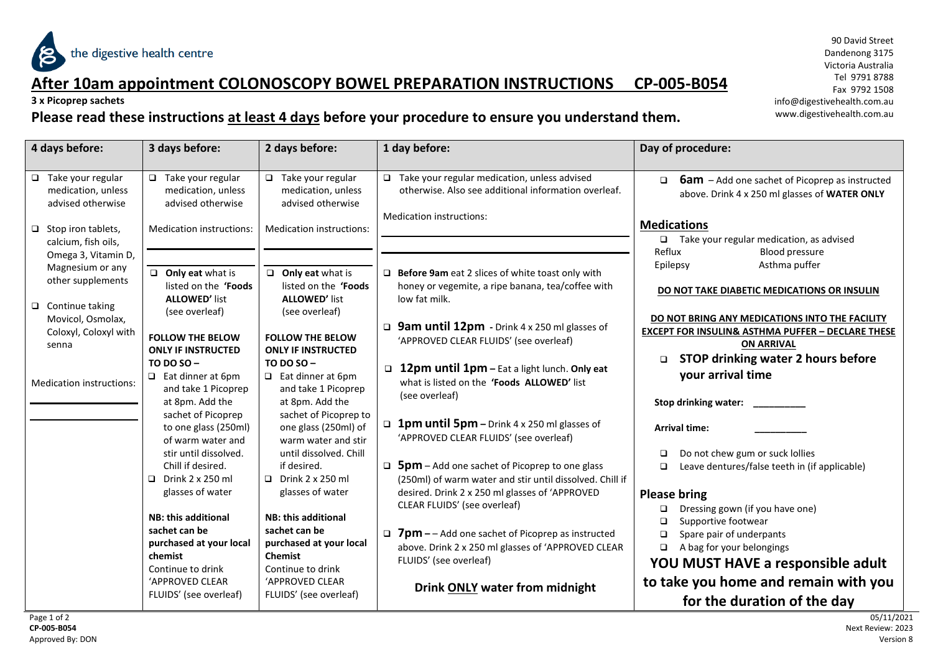

#### **After 10am appointment COLONOSCOPY BOWEL PREPARATION INSTRUCTIONS CP-005-B054**

**3 x Picoprep sachets**

#### **Please read these instructions at least 4 days before your procedure to ensure you understand them.**

90 David Street Dandenong 3175 Victoria Australia Tel 9791 8788 Fax 9792 1508 info@digestivehealth.com.au www.digestivehealth.com.au

| 4 days before:                                                                              | 3 days before:                                                                           | 2 days before:                                                                              | 1 day before:                                                                                                                                                      | Day of procedure:                                                                                                                      |
|---------------------------------------------------------------------------------------------|------------------------------------------------------------------------------------------|---------------------------------------------------------------------------------------------|--------------------------------------------------------------------------------------------------------------------------------------------------------------------|----------------------------------------------------------------------------------------------------------------------------------------|
| $\Box$ Take your regular<br>medication, unless<br>advised otherwise                         | $\Box$ Take your regular<br>medication, unless<br>advised otherwise                      | $\Box$ Take your regular<br>medication, unless<br>advised otherwise                         | $\Box$ Take your regular medication, unless advised<br>otherwise. Also see additional information overleaf.<br>Medication instructions:                            | <b>6am</b> - Add one sachet of Picoprep as instructed<br>$\Box$<br>above. Drink 4 x 250 ml glasses of WATER ONLY<br><b>Medications</b> |
| $\Box$ Stop iron tablets,<br>calcium, fish oils,<br>Omega 3, Vitamin D,<br>Magnesium or any | Medication instructions:<br>$\Box$ Only eat what is                                      | Medication instructions:<br>$\Box$ Only eat what is                                         | $\Box$ Before 9am eat 2 slices of white toast only with                                                                                                            | $\Box$ Take your regular medication, as advised<br>Reflux<br><b>Blood pressure</b><br>Asthma puffer<br>Epilepsy                        |
| other supplements<br>$\Box$ Continue taking<br>Movicol, Osmolax,                            | listed on the 'Foods<br><b>ALLOWED' list</b><br>(see overleaf)                           | listed on the 'Foods<br><b>ALLOWED' list</b><br>(see overleaf)                              | honey or vegemite, a ripe banana, tea/coffee with<br>low fat milk.                                                                                                 | DO NOT TAKE DIABETIC MEDICATIONS OR INSULIN<br>DO NOT BRING ANY MEDICATIONS INTO THE FACILITY                                          |
| Coloxyl, Coloxyl with<br>senna                                                              | <b>FOLLOW THE BELOW</b><br><b>ONLY IF INSTRUCTED</b><br>TO DO SO $-$                     | <b>FOLLOW THE BELOW</b><br><b>ONLY IF INSTRUCTED</b><br>TO DO SO $-$                        | <b>Q</b> 9am until 12pm - Drink 4 x 250 ml glasses of<br>'APPROVED CLEAR FLUIDS' (see overleaf)<br>12pm until 1pm – Eat a light lunch. Only eat                    | <b>EXCEPT FOR INSULIN&amp; ASTHMA PUFFER - DECLARE THESE</b><br><b>ON ARRIVAL</b><br>STOP drinking water 2 hours before<br>□           |
| <b>Medication instructions:</b>                                                             | $\Box$ Eat dinner at 6pm<br>and take 1 Picoprep<br>at 8pm. Add the<br>sachet of Picoprep | $\Box$ Eat dinner at 6pm<br>and take 1 Picoprep<br>at 8pm. Add the<br>sachet of Picoprep to | what is listed on the 'Foods ALLOWED' list<br>(see overleaf)                                                                                                       | your arrival time<br>Stop drinking water:                                                                                              |
|                                                                                             | to one glass (250ml)<br>of warm water and<br>stir until dissolved.                       | one glass (250ml) of<br>warm water and stir<br>until dissolved. Chill                       | <b>1pm until 5pm</b> – Drink 4 x 250 ml glasses of<br>'APPROVED CLEAR FLUIDS' (see overleaf)                                                                       | <b>Arrival time:</b><br>Do not chew gum or suck lollies<br>□                                                                           |
|                                                                                             | Chill if desired.<br>Drink 2 x 250 ml<br>$\Box$<br>glasses of water                      | if desired.<br>$\Box$ Drink 2 x 250 ml<br>glasses of water                                  | $\Box$ 5pm – Add one sachet of Picoprep to one glass<br>(250ml) of warm water and stir until dissolved. Chill if<br>desired. Drink 2 x 250 ml glasses of 'APPROVED | Leave dentures/false teeth in (if applicable)<br>□<br><b>Please bring</b>                                                              |
|                                                                                             | <b>NB: this additional</b><br>sachet can be                                              | <b>NB: this additional</b><br>sachet can be                                                 | CLEAR FLUIDS' (see overleaf)<br><b>7pm</b> – – Add one sachet of Picoprep as instructed                                                                            | Dressing gown (if you have one)<br>□<br>Supportive footwear<br>$\Box$                                                                  |
|                                                                                             | purchased at your local<br>chemist<br>Continue to drink                                  | purchased at your local<br><b>Chemist</b><br>Continue to drink                              | above. Drink 2 x 250 ml glasses of 'APPROVED CLEAR<br>FLUIDS' (see overleaf)                                                                                       | Spare pair of underpants<br>$\Box$<br>A bag for your belongings<br>$\Box$<br>YOU MUST HAVE a responsible adult                         |
|                                                                                             | 'APPROVED CLEAR<br>FLUIDS' (see overleaf)                                                | 'APPROVED CLEAR<br>FLUIDS' (see overleaf)                                                   | <b>Drink ONLY water from midnight</b>                                                                                                                              | to take you home and remain with you<br>for the duration of the day                                                                    |